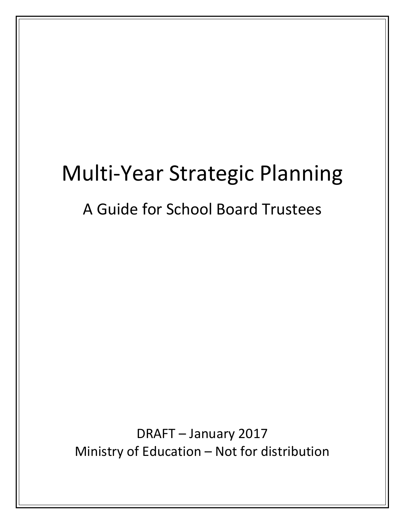# Multi-Year Strategic Planning

## A Guide for School Board Trustees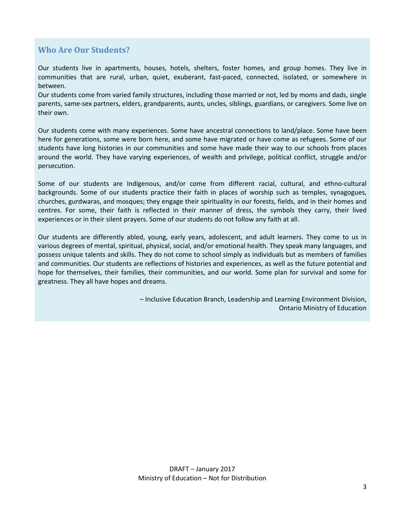## **Who Are Our Students?**

Our students live in apartments, houses, hotels, shelters, foster homes, and group homes. They live in communities that are rural, urban, quiet, exuberant, fast-paced, connected, isolated, or somewhere in between.

Our students come from varied family structures, including those married or not, led by moms and dads, single parents, same-sex partners, elders, grandparents, aunts, uncles, siblings, guardians, or caregivers. Some live on their own.

Our students come with many experiences. Some have ancestral connections to land/place. Some have been here for generations, some were born here, and some have migrated or have come as refugees. Some of our students have long histories in our communities and some have made their way to our schools from places around the world. They have varying experiences, of wealth and privilege, political conflict, struggle and/or persecution.

Some of our students are Indigenous, and/or come from different racial, cultural, and ethno-cultural backgrounds. Some of our students practice their faith in places of worship such as temples, synagogues, churches, gurdwaras, and mosques; they engage their spirituality in our forests, fields, and in their homes and centres. For some, their faith is reflected in their manner of dress, the symbols they carry, their lived experiences or in their silent prayers. Some of our students do not follow any faith at all.

Our students are differently abled, young, early years, adolescent, and adult learners. They come to us in various degrees of mental, spiritual, physical, social, and/or emotional health. They speak many languages, and possess unique talents and skills. They do not come to school simply as individuals but as members of families and communities. Our students are reflections of histories and experiences, as well as the future potential and hope for themselves, their families, their communities, and our world. Some plan for survival and some for greatness. They all have hopes and dreams.

> – Inclusive Education Branch, Leadership and Learning Environment Division, Ontario Ministry of Education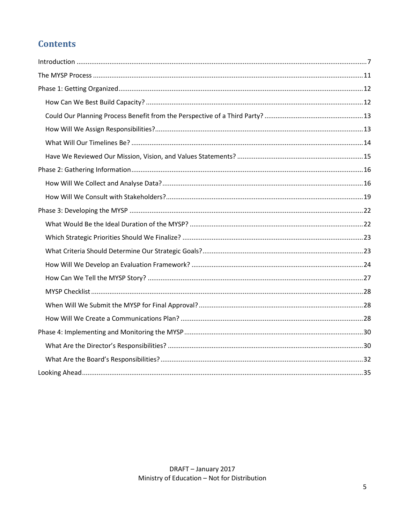## **Contents**

<span id="page-4-0"></span>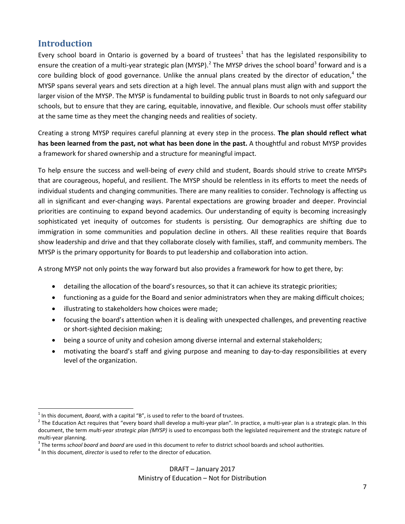## **Introduction**

Every school board in Ontario is governed by a board of trustees<sup>[1](#page-6-0)</sup> that has the legislated responsibility to ensure the creation of a multi-year strategic plan (MYSP).<sup>[2](#page-6-1)</sup> The MYSP drives the school board<sup>[3](#page-6-2)</sup> forward and is a core building block of good governance. Unlike the annual plans created by the director of education,<sup>[4](#page-6-3)</sup> the MYSP spans several years and sets direction at a high level. The annual plans must align with and support the larger vision of the MYSP. The MYSP is fundamental to building public trust in Boards to not only safeguard our schools, but to ensure that they are caring, equitable, innovative, and flexible. Our schools must offer stability at the same time as they meet the changing needs and realities of society.

Creating a strong MYSP requires careful planning at every step in the process. **The plan should reflect what has been learned from the past, not what has been done in the past.** A thoughtful and robust MYSP provides a framework for shared ownership and a structure for meaningful impact.

To help ensure the success and well-being of *every* child and student, Boards should strive to create MYSPs that are courageous, hopeful, and resilient. The MYSP should be relentless in its efforts to meet the needs of individual students and changing communities. There are many realities to consider. Technology is affecting us all in significant and ever-changing ways. Parental expectations are growing broader and deeper. Provincial priorities are continuing to expand beyond academics. Our understanding of equity is becoming increasingly sophisticated yet inequity of outcomes for students is persisting. Our demographics are shifting due to immigration in some communities and population decline in others. All these realities require that Boards show leadership and drive and that they collaborate closely with families, staff, and community members. The MYSP is the primary opportunity for Boards to put leadership and collaboration into action.

A strong MYSP not only points the way forward but also provides a framework for how to get there, by:

- detailing the allocation of the board's resources, so that it can achieve its strategic priorities;
- functioning as a guide for the Board and senior administrators when they are making difficult choices;
- illustrating to stakeholders how choices were made;
- focusing the board's attention when it is dealing with unexpected challenges, and preventing reactive or short-sighted decision making;
- being a source of unity and cohesion among diverse internal and external stakeholders;
- motivating the board's staff and giving purpose and meaning to day-to-day responsibilities at every level of the organization.

 $\overline{a}$ 

<span id="page-6-1"></span><span id="page-6-0"></span><sup>&</sup>lt;sup>1</sup> In this document, *Board*, with a capital "B", is used to refer to the board of trustees.<br><sup>2</sup> The Education Act requires that "every board shall develop a multi-year plan". In practice, a multi-year plan is a strategi document, the term *multi-year strategic plan (MYSP)* is used to encompass both the legislated requirement and the strategic nature of

<span id="page-6-2"></span>multi-year planning.<br><sup>3</sup> The terms *school board* and *board* are used in this document to refer to district school boards and school authorities.<br><sup>4</sup> In this document, *director* is used to refer to the director of educat

<span id="page-6-3"></span>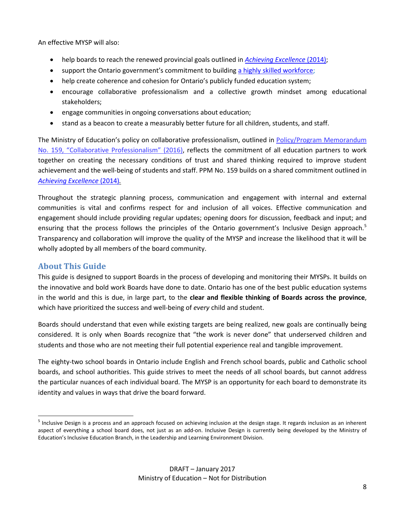An effective MYSP will also:

- help boards to reach the renewed provincial goals outlined in *[Achieving Excellence](http://www.edu.gov.on.ca/eng/about/renewedVision.pdf)* (2014);
- support the Ontario government's commitment to building a highly [skilled workforce;](https://files.ontario.ca/hsw_rev_engaoda_webfinal_july6.pdf)
- help create coherence and cohesion for Ontario's publicly funded education system;
- encourage collaborative professionalism and a collective growth mindset among educational stakeholders;
- engage communities in ongoing conversations about education;
- stand as a beacon to create a measurably better future for all children, students, and staff.

The Ministry of Education's policy on collaborative professionalism, outlined in [Policy/Program Memorandum](http://www.edu.gov.on.ca/extra/eng/ppm/ppm159.pdf)  [No. 159, "Collaborative Professionalism"](http://www.edu.gov.on.ca/extra/eng/ppm/ppm159.pdf) (2016), reflects the commitment of all education partners to work together on creating the necessary conditions of trust and shared thinking required to improve student achievement and the well-being of students and staff. PPM No. 159 builds on a shared commitment outlined in *[Achieving Excellence](http://www.edu.gov.on.ca/eng/about/renewedVision.pdf)* (2014)*.* 

Throughout the strategic planning process, communication and engagement with internal and external communities is vital and confirms respect for and inclusion of all voices. Effective communication and engagement should include providing regular updates; opening doors for discussion, feedback and input; and ensuring that the process follows the principles of the Ontario government's Inclusive Design approach.<sup>[5](#page-7-0)</sup> Transparency and collaboration will improve the quality of the MYSP and increase the likelihood that it will be wholly adopted by all members of the board community.

#### **About This Guide**

 $\overline{a}$ 

This guide is designed to support Boards in the process of developing and monitoring their MYSPs. It builds on the innovative and bold work Boards have done to date. Ontario has one of the best public education systems in the world and this is due, in large part, to the **clear and flexible thinking of Boards across the province**, which have prioritized the success and well-being of *every* child and student.

Boards should understand that even while existing targets are being realized, new goals are continually being considered. It is only when Boards recognize that "the work is never done" that underserved children and students and those who are not meeting their full potential experience real and tangible improvement.

The eighty-two school boards in Ontario include English and French school boards, public and Catholic school boards, and school authorities. This guide strives to meet the needs of all school boards, but cannot address the particular nuances of each individual board. The MYSP is an opportunity for each board to demonstrate its identity and values in ways that drive the board forward.

<span id="page-7-0"></span> $<sup>5</sup>$  Inclusive Design is a process and an approach focused on achieving inclusion at the design stage. It regards inclusion as an inherent</sup> aspect of everything a school board does, not just as an add-on. Inclusive Design is currently being developed by the Ministry of Education's Inclusive Education Branch, in the Leadership and Learning Environment Division.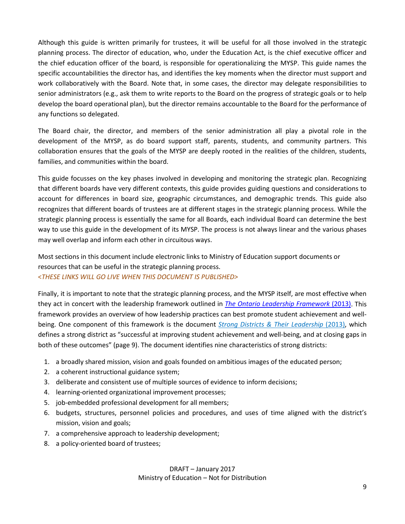Although this guide is written primarily for trustees, it will be useful for all those involved in the strategic planning process. The director of education, who, under the Education Act, is the chief executive officer and the chief education officer of the board, is responsible for operationalizing the MYSP. This guide names the specific accountabilities the director has, and identifies the key moments when the director must support and work collaboratively with the Board. Note that, in some cases, the director may delegate responsibilities to senior administrators (e.g., ask them to write reports to the Board on the progress of strategic goals or to help develop the board operational plan), but the director remains accountable to the Board for the performance of any functions so delegated.

The Board chair, the director, and members of the senior administration all play a pivotal role in the development of the MYSP, as do board support staff, parents, students, and community partners. This collaboration ensures that the goals of the MYSP are deeply rooted in the realities of the children, students, families, and communities within the board.

This guide focusses on the key phases involved in developing and monitoring the strategic plan. Recognizing that different boards have very different contexts, this guide provides guiding questions and considerations to account for differences in board size, geographic circumstances, and demographic trends. This guide also recognizes that different boards of trustees are at different stages in the strategic planning process. While the strategic planning process is essentially the same for all Boards, each individual Board can determine the best way to use this guide in the development of its MYSP. The process is not always linear and the various phases may well overlap and inform each other in circuitous ways.

Most sections in this document include electronic links to Ministry of Education support documents or resources that can be useful in the strategic planning process.

#### <*THESE LINKS WILL GO LIVE WHEN THIS DOCUMENT IS PUBLISHED>*

Finally, it is important to note that the strategic planning process, and the MYSP itself, are most effective when they act in concert with the leadership framework outlined in *[The Ontario Leadership Framework](https://iel.immix.ca/storage/6/1380680840/OLF_User_Guide_FINAL.pdf)* (2013). This framework provides an overview of how leadership practices can best promote student achievement and wellbeing. One component of this framework is the document *[Strong Districts & Their Leadership](https://education-leadership-ontario.ca/media/resource/Strong_Districts_and_their_Leadership_2013.pdf)* (2013), which defines a strong district as "successful at improving student achievement and well-being, and at closing gaps in both of these outcomes" (page 9). The document identifies nine characteristics of strong districts:

- 1. a broadly shared mission, vision and goals founded on ambitious images of the educated person;
- 2. a coherent instructional guidance system;
- 3. deliberate and consistent use of multiple sources of evidence to inform decisions;
- 4. learning-oriented organizational improvement processes;
- 5. job-embedded professional development for all members;
- 6. budgets, structures, personnel policies and procedures, and uses of time aligned with the district's mission, vision and goals;
- 7. a comprehensive approach to leadership development;
- 8. a policy-oriented board of trustees;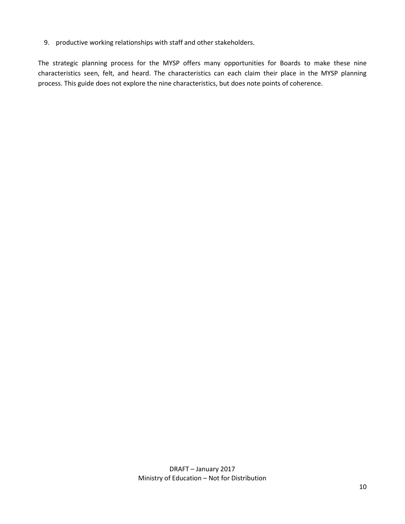9. productive working relationships with staff and other stakeholders.

The strategic planning process for the MYSP offers many opportunities for Boards to make these nine characteristics seen, felt, and heard. The characteristics can each claim their place in the MYSP planning process. This guide does not explore the nine characteristics, but does note points of coherence.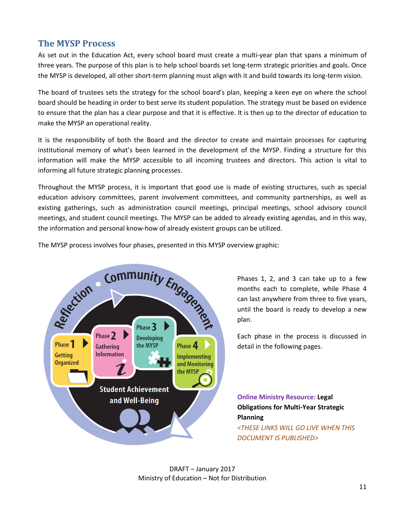## <span id="page-10-0"></span>**The MYSP Process**

As set out in the Education Act, every school board must create a multi-year plan that spans a minimum of three years. The purpose of this plan is to help school boards set long-term strategic priorities and goals. Once the MYSP is developed, all other short-term planning must align with it and build towards its long-term vision.

The board of trustees sets the strategy for the school board's plan, keeping a keen eye on where the school board should be heading in order to best serve its student population. The strategy must be based on evidence to ensure that the plan has a clear purpose and that it is effective. It is then up to the director of education to make the MYSP an operational reality.

It is the responsibility of both the Board and the director to create and maintain processes for capturing institutional memory of what's been learned in the development of the MYSP. Finding a structure for this information will make the MYSP accessible to all incoming trustees and directors. This action is vital to informing all future strategic planning processes.

Throughout the MYSP process, it is important that good use is made of existing structures, such as special education advisory committees, parent involvement committees, and community partnerships, as well as existing gatherings, such as administration council meetings, principal meetings, school advisory council meetings, and student council meetings. The MYSP can be added to already existing agendas, and in this way, the information and personal know-how of already existent groups can be utilized.

The MYSP process involves four phases, presented in this MYSP overview graphic:



Phases 1, 2, and 3 can take up to a few months each to complete, while Phase 4 can last anywhere from three to five years, until the board is ready to develop a new plan.

Each phase in the process is discussed in detail in the following pages.

**Online Ministry Resource: Legal Obligations for Multi-Year Strategic Planning** <*THESE LINKS WILL GO LIVE WHEN THIS DOCUMENT IS PUBLISHED>*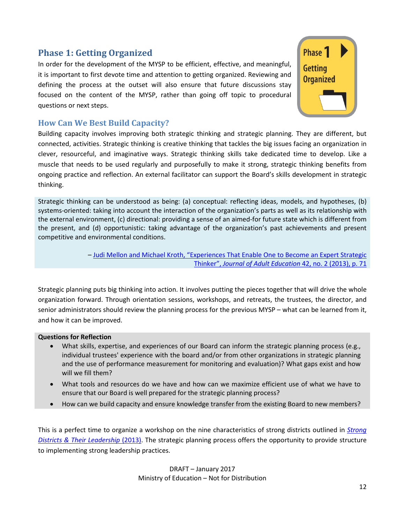## <span id="page-11-0"></span>**Phase 1: Getting Organized**

In order for the development of the MYSP to be efficient, effective, and meaningful, it is important to first devote time and attention to getting organized. Reviewing and defining the process at the outset will also ensure that future discussions stay focused on the content of the MYSP, rather than going off topic to procedural questions or next steps.



## <span id="page-11-1"></span>**How Can We Best Build Capacity?**

Building capacity involves improving both strategic thinking and strategic planning. They are different, but connected, activities. Strategic thinking is creative thinking that tackles the big issues facing an organization in clever, resourceful, and imaginative ways. Strategic thinking skills take dedicated time to develop. Like a muscle that needs to be used regularly and purposefully to make it strong, strategic thinking benefits from ongoing practice and reflection. An external facilitator can support the Board's skills development in strategic thinking.

Strategic thinking can be understood as being: (a) conceptual: reflecting ideas, models, and hypotheses, (b) systems-oriented: taking into account the interaction of the organization's parts as well as its relationship with the external environment, (c) directional: providing a sense of an aimed-for future state which is different from the present, and (d) opportunistic: taking advantage of the organization's past achievements and present competitive and environmental conditions.

> – [Judi Mellon and Michael Kroth, "Experiences That Enable One to Become an Expert Strategic](http://eric.ed.gov/?id=EJ1047342)  Thinker", *[Journal of Adult Education](http://eric.ed.gov/?id=EJ1047342)* 42, no. 2 (2013), p. 71

Strategic planning puts big thinking into action. It involves putting the pieces together that will drive the whole organization forward. Through orientation sessions, workshops, and retreats, the trustees, the director, and senior administrators should review the planning process for the previous MYSP – what can be learned from it, and how it can be improved.

#### **Questions for Reflection**

- What skills, expertise, and experiences of our Board can inform the strategic planning process (e.g., individual trustees' experience with the board and/or from other organizations in strategic planning and the use of performance measurement for monitoring and evaluation)? What gaps exist and how will we fill them?
- What tools and resources do we have and how can we maximize efficient use of what we have to ensure that our Board is well prepared for the strategic planning process?
- How can we build capacity and ensure knowledge transfer from the existing Board to new members?

This is a perfect time to organize a workshop on the nine characteristics of strong districts outlined in *[Strong](https://education-leadership-ontario.ca/media/resource/Strong_Districts_and_their_Leadership_2013.pdf)  Districts & [Their Leadership](https://education-leadership-ontario.ca/media/resource/Strong_Districts_and_their_Leadership_2013.pdf)* (2013). The strategic planning process offers the opportunity to provide structure to implementing strong leadership practices.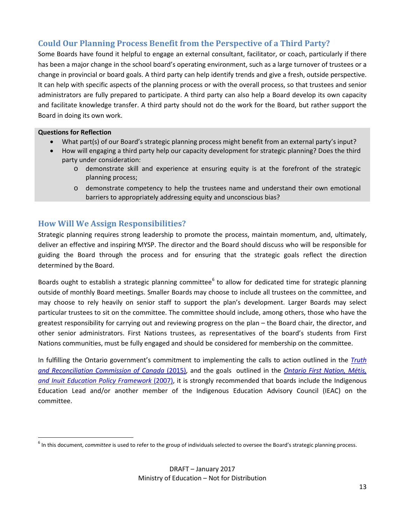## <span id="page-12-0"></span>**Could Our Planning Process Benefit from the Perspective of a Third Party?**

Some Boards have found it helpful to engage an external consultant, facilitator, or coach, particularly if there has been a major change in the school board's operating environment, such as a large turnover of trustees or a change in provincial or board goals. A third party can help identify trends and give a fresh, outside perspective. It can help with specific aspects of the planning process or with the overall process, so that trustees and senior administrators are fully prepared to participate. A third party can also help a Board develop its own capacity and facilitate knowledge transfer. A third party should not do the work for the Board, but rather support the Board in doing its own work.

#### **Questions for Reflection**

- What part(s) of our Board's strategic planning process might benefit from an external party's input?
- How will engaging a third party help our capacity development for strategic planning? Does the third party under consideration:
	- o demonstrate skill and experience at ensuring equity is at the forefront of the strategic planning process;
	- o demonstrate competency to help the trustees name and understand their own emotional barriers to appropriately addressing equity and unconscious bias?

## <span id="page-12-1"></span>**How Will We Assign Responsibilities?**

Strategic planning requires strong leadership to promote the process, maintain momentum, and, ultimately, deliver an effective and inspiring MYSP. The director and the Board should discuss who will be responsible for guiding the Board through the process and for ensuring that the strategic goals reflect the direction determined by the Board.

Boards ought to establish a strategic planning committee<sup>[6](#page-12-2)</sup> to allow for dedicated time for strategic planning outside of monthly Board meetings. Smaller Boards may choose to include all trustees on the committee, and may choose to rely heavily on senior staff to support the plan's development. Larger Boards may select particular trustees to sit on the committee. The committee should include, among others, those who have the greatest responsibility for carrying out and reviewing progress on the plan – the Board chair, the director, and other senior administrators. First Nations trustees, as representatives of the board's students from First Nations communities, must be fully engaged and should be considered for membership on the committee.

In fulfilling the Ontario government's commitment to implementing the calls to action outlined in the *[Truth](http://www.trc.ca/websites/trcinstitution/File/2015/Findings/Calls_to_Action_English2.pdf)  [and Reconciliation Commission of Canada](http://www.trc.ca/websites/trcinstitution/File/2015/Findings/Calls_to_Action_English2.pdf)* (2015), and the goals outlined in the *[Ontario First Nation, Métis,](http://www.edu.gov.on.ca/eng/aboriginal/fnmiFramework.pdf)  [and Inuit Education Policy Framework](http://www.edu.gov.on.ca/eng/aboriginal/fnmiFramework.pdf)* (2007), it is strongly recommended that boards include the Indigenous Education Lead and/or another member of the Indigenous Education Advisory Council (IEAC) on the committee.

<span id="page-12-2"></span><sup>&</sup>lt;sup>6</sup> In this document, *committee* is used to refer to the group of individuals selected to oversee the Board's strategic planning process.  $\overline{a}$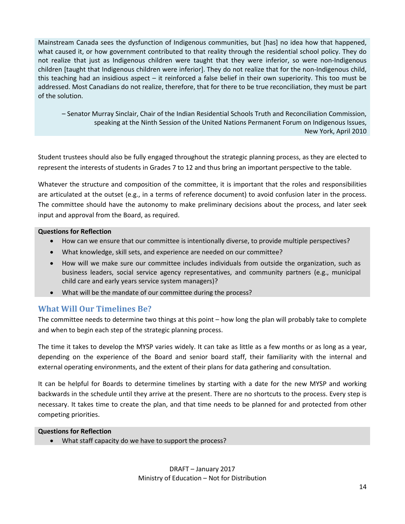Mainstream Canada sees the dysfunction of Indigenous communities, but [has] no idea how that happened, what caused it, or how government contributed to that reality through the residential school policy. They do not realize that just as Indigenous children were taught that they were inferior, so were non-Indigenous children [taught that Indigenous children were inferior]. They do not realize that for the non-Indigenous child, this teaching had an insidious aspect – it reinforced a false belief in their own superiority. This too must be addressed. Most Canadians do not realize, therefore, that for there to be true reconciliation, they must be part of the solution.

– Senator Murray Sinclair, Chair of the Indian Residential Schools Truth and Reconciliation Commission, speaking at the Ninth Session of the United Nations Permanent Forum on Indigenous Issues, New York, April 2010

Student trustees should also be fully engaged throughout the strategic planning process, as they are elected to represent the interests of students in Grades 7 to 12 and thus bring an important perspective to the table.

Whatever the structure and composition of the committee, it is important that the roles and responsibilities are articulated at the outset (e.g., in a terms of reference document) to avoid confusion later in the process. The committee should have the autonomy to make preliminary decisions about the process, and later seek input and approval from the Board, as required.

#### **Questions for Reflection**

- How can we ensure that our committee is intentionally diverse, to provide multiple perspectives?
- What knowledge, skill sets, and experience are needed on our committee?
- How will we make sure our committee includes individuals from outside the organization, such as business leaders, social service agency representatives, and community partners (e.g., municipal child care and early years service system managers)?
- What will be the mandate of our committee during the process?

## <span id="page-13-0"></span>**What Will Our Timelines Be?**

The committee needs to determine two things at this point – how long the plan will probably take to complete and when to begin each step of the strategic planning process.

The time it takes to develop the MYSP varies widely. It can take as little as a few months or as long as a year, depending on the experience of the Board and senior board staff, their familiarity with the internal and external operating environments, and the extent of their plans for data gathering and consultation.

It can be helpful for Boards to determine timelines by starting with a date for the new MYSP and working backwards in the schedule until they arrive at the present. There are no shortcuts to the process. Every step is necessary. It takes time to create the plan, and that time needs to be planned for and protected from other competing priorities.

#### **Questions for Reflection**

• What staff capacity do we have to support the process?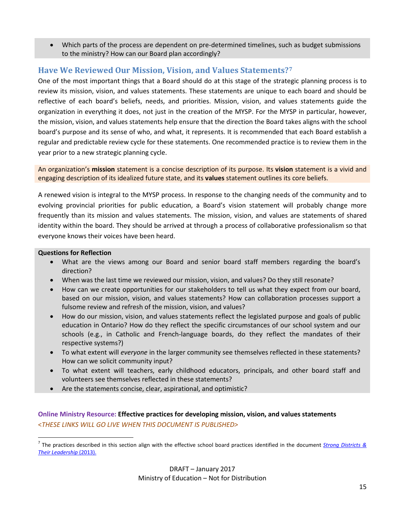• Which parts of the process are dependent on pre-determined timelines, such as budget submissions to the ministry? How can our Board plan accordingly?

## <span id="page-14-0"></span>**Have We Reviewed Our Mission, Vision, and Values Statements?[7](#page-14-1)**

One of the most important things that a Board should do at this stage of the strategic planning process is to review its mission, vision, and values statements. These statements are unique to each board and should be reflective of each board's beliefs, needs, and priorities. Mission, vision, and values statements guide the organization in everything it does, not just in the creation of the MYSP. For the MYSP in particular, however, the mission, vision, and values statements help ensure that the direction the Board takes aligns with the school board's purpose and its sense of who, and what, it represents. It is recommended that each Board establish a regular and predictable review cycle for these statements. One recommended practice is to review them in the year prior to a new strategic planning cycle.

An organization's **mission** statement is a concise description of its purpose. Its **vision** statement is a vivid and engaging description of its idealized future state, and its **values** statement outlines its core beliefs.

A renewed vision is integral to the MYSP process. In response to the changing needs of the community and to evolving provincial priorities for public education, a Board's vision statement will probably change more frequently than its mission and values statements. The mission, vision, and values are statements of shared identity within the board. They should be arrived at through a process of collaborative professionalism so that everyone knows their voices have been heard.

#### **Questions for Reflection**

- What are the views among our Board and senior board staff members regarding the board's direction?
- When was the last time we reviewed our mission, vision, and values? Do they still resonate?
- How can we create opportunities for our stakeholders to tell us what they expect from our board, based on our mission, vision, and values statements? How can collaboration processes support a fulsome review and refresh of the mission, vision, and values?
- How do our mission, vision, and values statements reflect the legislated purpose and goals of public education in Ontario? How do they reflect the specific circumstances of our school system and our schools (e.g., in Catholic and French-language boards, do they reflect the mandates of their respective systems?)
- To what extent will *everyone* in the larger community see themselves reflected in these statements? How can we solicit community input?
- To what extent will teachers, early childhood educators, principals, and other board staff and volunteers see themselves reflected in these statements?
- Are the statements concise, clear, aspirational, and optimistic?

#### **Online Ministry Resource: Effective practices for developing mission, vision, and values statements** <*THESE LINKS WILL GO LIVE WHEN THIS DOCUMENT IS PUBLISHED>*

<span id="page-14-1"></span><sup>7</sup> The practices described in this section align with the effective school board practices identified in the document *[Strong Districts &](https://education-leadership-ontario.ca/media/resource/Strong_Districts_and_their_Leadership_2013.pdf) [Their Leadership](https://education-leadership-ontario.ca/media/resource/Strong_Districts_and_their_Leadership_2013.pdf)* (2013).  $\overline{a}$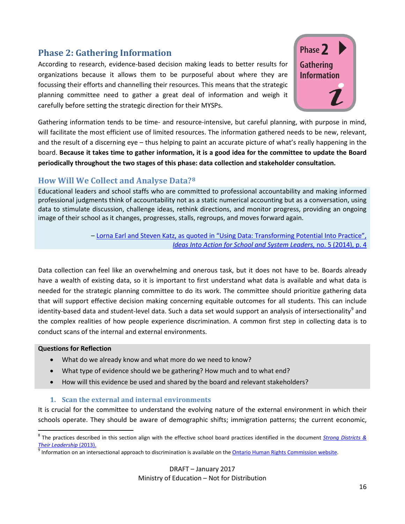## <span id="page-15-0"></span>**Phase 2: Gathering Information**

According to research, evidence-based decision making leads to better results for organizations because it allows them to be purposeful about where they are focussing their efforts and channelling their resources. This means that the strategic planning committee need to gather a great deal of information and weigh it carefully before setting the strategic direction for their MYSPs.

Phase 2 **Gathering Information** 

Gathering information tends to be time- and resource-intensive, but careful planning, with purpose in mind, will facilitate the most efficient use of limited resources. The information gathered needs to be new, relevant, and the result of a discerning eye – thus helping to paint an accurate picture of what's really happening in the board. **Because it takes time to gather information, it is a good idea for the committee to update the Board periodically throughout the two stages of this phase: data collection and stakeholder consultation.**

## <span id="page-15-1"></span>**How Will We Collect and Analyse Data?[8](#page-15-2)**

Educational leaders and school staffs who are committed to professional accountability and making informed professional judgments think of accountability not as a static numerical accounting but as a conversation, using data to stimulate discussion, challenge ideas, rethink directions, and monitor progress, providing an ongoing image of their school as it changes, progresses, stalls, regroups, and moves forward again.

> – Lorna Earl and Steven Katz, as quoted [in "Using Data: Transforming Potential Into Practice",](http://www.edu.gov.on.ca/eng/policyfunding/leadership/IdeasIntoActionBulletin5.pdf)  *[Ideas Into Action for School and System Leaders,](http://www.edu.gov.on.ca/eng/policyfunding/leadership/IdeasIntoActionBulletin5.pdf)* no. 5 (2014), p. 4

Data collection can feel like an overwhelming and onerous task, but it does not have to be. Boards already have a wealth of existing data, so it is important to first understand what data is available and what data is needed for the strategic planning committee to do its work. The committee should prioritize gathering data that will support effective decision making concerning equitable outcomes for all students. This can include identity-based data and student-level data. Such a data set would support an analysis of intersectionality<sup>[9](#page-15-3)</sup> and the complex realities of how people experience discrimination. A common first step in collecting data is to conduct scans of the internal and external environments.

#### **Questions for Reflection**

 $\overline{a}$ 

- What do we already know and what more do we need to know?
- What type of evidence should we be gathering? How much and to what end?
- How will this evidence be used and shared by the board and relevant stakeholders?

#### **1. Scan the external and internal environments**

It is crucial for the committee to understand the evolving nature of the external environment in which their schools operate. They should be aware of demographic shifts; immigration patterns; the current economic,

<span id="page-15-2"></span><sup>8</sup> The practices described in this section align with the effective school board practices identified in the document *[Strong Districts &](https://education-leadership-ontario.ca/media/resource/Strong_Districts_and_their_Leadership_2013.pdf) [Their Leadership](https://education-leadership-ontario.ca/media/resource/Strong_Districts_and_their_Leadership_2013.pdf) (2013).*<br><sup>9</sup> Information on an intersectional approach to discrimination is available on th[e Ontario Human Rights Commission website.](http://www.ohrc.on.ca/en/intersectional-approach-discrimination-addressing-multiple-grounds-human-rights-claims)

<span id="page-15-3"></span>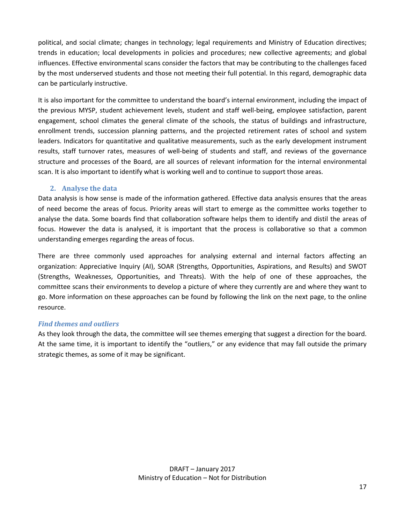political, and social climate; changes in technology; legal requirements and Ministry of Education directives; trends in education; local developments in policies and procedures; new collective agreements; and global influences. Effective environmental scans consider the factors that may be contributing to the challenges faced by the most underserved students and those not meeting their full potential. In this regard, demographic data can be particularly instructive.

It is also important for the committee to understand the board's internal environment, including the impact of the previous MYSP, student achievement levels, student and staff well-being, employee satisfaction, parent engagement, school climates the general climate of the schools, the status of buildings and infrastructure, enrollment trends, succession planning patterns, and the projected retirement rates of school and system leaders. Indicators for quantitative and qualitative measurements, such as the early development instrument results, staff turnover rates, measures of well-being of students and staff, and reviews of the governance structure and processes of the Board, are all sources of relevant information for the internal environmental scan. It is also important to identify what is working well and to continue to support those areas.

#### **2. Analyse the data**

Data analysis is how sense is made of the information gathered. Effective data analysis ensures that the areas of need become the areas of focus. Priority areas will start to emerge as the committee works together to analyse the data. Some boards find that collaboration software helps them to identify and distil the areas of focus. However the data is analysed, it is important that the process is collaborative so that a common understanding emerges regarding the areas of focus.

There are three commonly used approaches for analysing external and internal factors affecting an organization: Appreciative Inquiry (AI), SOAR (Strengths, Opportunities, Aspirations, and Results) and SWOT (Strengths, Weaknesses, Opportunities, and Threats). With the help of one of these approaches, the committee scans their environments to develop a picture of where they currently are and where they want to go. More information on these approaches can be found by following the link on the next page, to the online resource.

#### *Find themes and outliers*

As they look through the data, the committee will see themes emerging that suggest a direction for the board. At the same time, it is important to identify the "outliers," or any evidence that may fall outside the primary strategic themes, as some of it may be significant.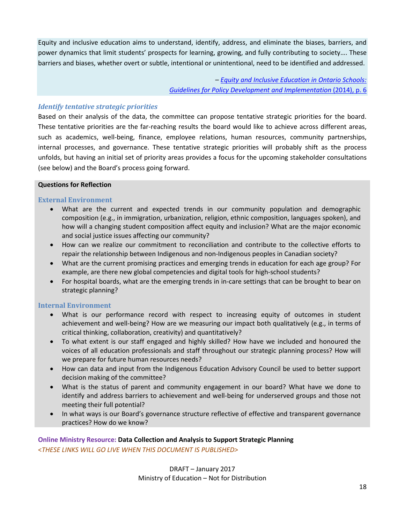Equity and inclusive education aims to understand, identify, address, and eliminate the biases, barriers, and power dynamics that limit students' prospects for learning, growing, and fully contributing to society…. These barriers and biases, whether overt or subtle, intentional or unintentional, need to be identified and addressed.

> *– [Equity and Inclusive Education in Ontario Schools:](http://www.edu.gov.on.ca/eng/policyfunding/inclusiveguide.pdf)  [Guidelines for Policy Development and Implementation](http://www.edu.gov.on.ca/eng/policyfunding/inclusiveguide.pdf)* (2014), p. 6

#### *Identify tentative strategic priorities*

Based on their analysis of the data, the committee can propose tentative strategic priorities for the board. These tentative priorities are the far-reaching results the board would like to achieve across different areas, such as academics, well-being, finance, employee relations, human resources, community partnerships, internal processes, and governance. These tentative strategic priorities will probably shift as the process unfolds, but having an initial set of priority areas provides a focus for the upcoming stakeholder consultations (see below) and the Board's process going forward.

#### **Questions for Reflection**

#### **External Environment**

- What are the current and expected trends in our community population and demographic composition (e.g., in immigration, urbanization, religion, ethnic composition, languages spoken), and how will a changing student composition affect equity and inclusion? What are the major economic and social justice issues affecting our community?
- How can we realize our commitment to reconciliation and contribute to the collective efforts to repair the relationship between Indigenous and non-Indigenous peoples in Canadian society?
- What are the current promising practices and emerging trends in education for each age group? For example, are there new global competencies and digital tools for high-school students?
- For hospital boards, what are the emerging trends in in-care settings that can be brought to bear on strategic planning?

#### **Internal Environment**

- What is our performance record with respect to increasing equity of outcomes in student achievement and well-being? How are we measuring our impact both qualitatively (e.g., in terms of critical thinking, collaboration, creativity) and quantitatively?
- To what extent is our staff engaged and highly skilled? How have we included and honoured the voices of all education professionals and staff throughout our strategic planning process? How will we prepare for future human resources needs?
- How can data and input from the Indigenous Education Advisory Council be used to better support decision making of the committee?
- What is the status of parent and community engagement in our board? What have we done to identify and address barriers to achievement and well-being for underserved groups and those not meeting their full potential?
- In what ways is our Board's governance structure reflective of effective and transparent governance practices? How do we know?

**Online Ministry Resource: Data Collection and Analysis to Support Strategic Planning** <*THESE LINKS WILL GO LIVE WHEN THIS DOCUMENT IS PUBLISHED>*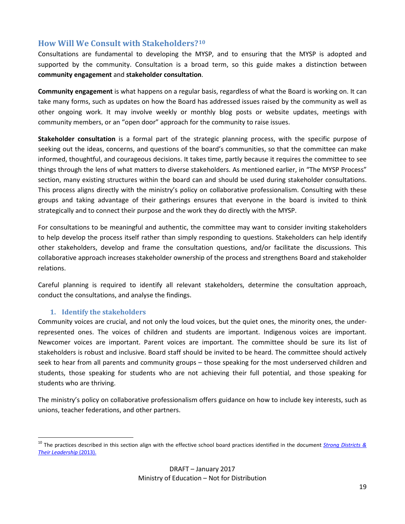## <span id="page-18-0"></span>**How Will We Consult with Stakeholders?[10](#page-18-1)**

Consultations are fundamental to developing the MYSP, and to ensuring that the MYSP is adopted and supported by the community. Consultation is a broad term, so this guide makes a distinction between **community engagement** and **stakeholder consultation**.

**Community engagement** is what happens on a regular basis, regardless of what the Board is working on. It can take many forms, such as updates on how the Board has addressed issues raised by the community as well as other ongoing work. It may involve weekly or monthly blog posts or website updates, meetings with community members, or an "open door" approach for the community to raise issues.

**Stakeholder consultation** is a formal part of the strategic planning process, with the specific purpose of seeking out the ideas, concerns, and questions of the board's communities, so that the committee can make informed, thoughtful, and courageous decisions. It takes time, partly because it requires the committee to see things through the lens of what matters to diverse stakeholders. As mentioned earlier, in "The MYSP Process" section, many existing structures within the board can and should be used during stakeholder consultations. This process aligns directly with the ministry's policy on collaborative professionalism. Consulting with these groups and taking advantage of their gatherings ensures that everyone in the board is invited to think strategically and to connect their purpose and the work they do directly with the MYSP.

For consultations to be meaningful and authentic, the committee may want to consider inviting stakeholders to help develop the process itself rather than simply responding to questions. Stakeholders can help identify other stakeholders, develop and frame the consultation questions, and/or facilitate the discussions. This collaborative approach increases stakeholder ownership of the process and strengthens Board and stakeholder relations.

Careful planning is required to identify all relevant stakeholders, determine the consultation approach, conduct the consultations, and analyse the findings.

#### **1. Identify the stakeholders**

 $\overline{a}$ 

Community voices are crucial, and not only the loud voices, but the quiet ones, the minority ones, the underrepresented ones. The voices of children and students are important. Indigenous voices are important. Newcomer voices are important. Parent voices are important. The committee should be sure its list of stakeholders is robust and inclusive. Board staff should be invited to be heard. The committee should actively seek to hear from all parents and community groups – those speaking for the most underserved children and students, those speaking for students who are not achieving their full potential, and those speaking for students who are thriving.

The ministry's policy on collaborative professionalism offers guidance on how to include key interests, such as unions, teacher federations, and other partners.

<span id="page-18-1"></span><sup>10</sup> The practices described in this section align with the effective school board practices identified in the document *[Strong Districts &](https://education-leadership-ontario.ca/media/resource/Strong_Districts_and_their_Leadership_2013.pdf) [Their Leadership](https://education-leadership-ontario.ca/media/resource/Strong_Districts_and_their_Leadership_2013.pdf)* (2013).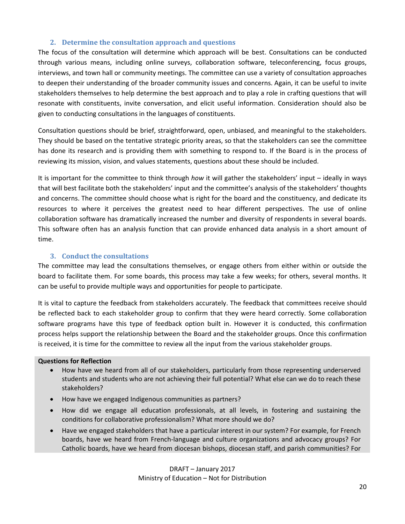#### **2. Determine the consultation approach and questions**

The focus of the consultation will determine which approach will be best. Consultations can be conducted through various means, including online surveys, collaboration software, teleconferencing, focus groups, interviews, and town hall or community meetings. The committee can use a variety of consultation approaches to deepen their understanding of the broader community issues and concerns. Again, it can be useful to invite stakeholders themselves to help determine the best approach and to play a role in crafting questions that will resonate with constituents, invite conversation, and elicit useful information. Consideration should also be given to conducting consultations in the languages of constituents.

Consultation questions should be brief, straightforward, open, unbiased, and meaningful to the stakeholders. They should be based on the tentative strategic priority areas, so that the stakeholders can see the committee has done its research and is providing them with something to respond to. If the Board is in the process of reviewing its mission, vision, and values statements, questions about these should be included.

It is important for the committee to think through *how* it will gather the stakeholders' input – ideally in ways that will best facilitate both the stakeholders' input and the committee's analysis of the stakeholders' thoughts and concerns. The committee should choose what is right for the board and the constituency, and dedicate its resources to where it perceives the greatest need to hear different perspectives. The use of online collaboration software has dramatically increased the number and diversity of respondents in several boards. This software often has an analysis function that can provide enhanced data analysis in a short amount of time.

#### **3. Conduct the consultations**

The committee may lead the consultations themselves, or engage others from either within or outside the board to facilitate them. For some boards, this process may take a few weeks; for others, several months. It can be useful to provide multiple ways and opportunities for people to participate.

It is vital to capture the feedback from stakeholders accurately. The feedback that committees receive should be reflected back to each stakeholder group to confirm that they were heard correctly. Some collaboration software programs have this type of feedback option built in. However it is conducted, this confirmation process helps support the relationship between the Board and the stakeholder groups. Once this confirmation is received, it is time for the committee to review all the input from the various stakeholder groups.

#### **Questions for Reflection**

- How have we heard from all of our stakeholders, particularly from those representing underserved students and students who are not achieving their full potential? What else can we do to reach these stakeholders?
- How have we engaged Indigenous communities as partners?
- How did we engage all education professionals, at all levels, in fostering and sustaining the conditions for collaborative professionalism? What more should we do?
- Have we engaged stakeholders that have a particular interest in our system? For example, for French boards, have we heard from French-language and culture organizations and advocacy groups? For Catholic boards, have we heard from diocesan bishops, diocesan staff, and parish communities? For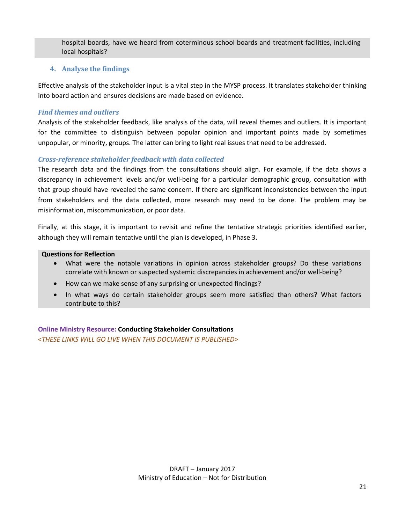hospital boards, have we heard from coterminous school boards and treatment facilities, including local hospitals?

#### **4. Analyse the findings**

Effective analysis of the stakeholder input is a vital step in the MYSP process. It translates stakeholder thinking into board action and ensures decisions are made based on evidence.

#### *Find themes and outliers*

Analysis of the stakeholder feedback, like analysis of the data, will reveal themes and outliers. It is important for the committee to distinguish between popular opinion and important points made by sometimes unpopular, or minority, groups. The latter can bring to light real issues that need to be addressed.

#### *Cross-reference stakeholder feedback with data collected*

The research data and the findings from the consultations should align. For example, if the data shows a discrepancy in achievement levels and/or well-being for a particular demographic group, consultation with that group should have revealed the same concern. If there are significant inconsistencies between the input from stakeholders and the data collected, more research may need to be done. The problem may be misinformation, miscommunication, or poor data.

Finally, at this stage, it is important to revisit and refine the tentative strategic priorities identified earlier, although they will remain tentative until the plan is developed, in Phase 3.

#### **Questions for Reflection**

- What were the notable variations in opinion across stakeholder groups? Do these variations correlate with known or suspected systemic discrepancies in achievement and/or well-being?
- How can we make sense of any surprising or unexpected findings?
- In what ways do certain stakeholder groups seem more satisfied than others? What factors contribute to this?

**Online Ministry Resource: Conducting Stakeholder Consultations** <*THESE LINKS WILL GO LIVE WHEN THIS DOCUMENT IS PUBLISHED>*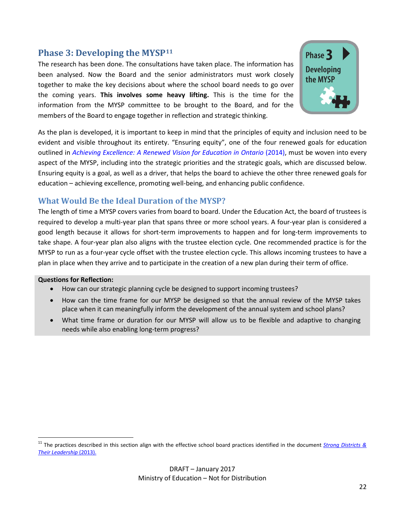## <span id="page-21-0"></span>**Phase 3: Developing the MYSP[11](#page-21-3)**

The research has been done. The consultations have taken place. The information has been analysed. Now the Board and the senior administrators must work closely together to make the key decisions about where the school board needs to go over the coming years. **This involves some heavy lifting.** This is the time for the information from the MYSP committee to be brought to the Board, and for the members of the Board to engage together in reflection and strategic thinking.



As the plan is developed, it is important to keep in mind that the principles of equity and inclusion need to be evident and visible throughout its entirety. "Ensuring equity", one of the four renewed goals for education outlined in *[Achieving Excellence: A Renewed Vision for Education in Ontario](http://www.edu.gov.on.ca/eng/about/excellent.html)* (2014), must be woven into every aspect of the MYSP, including into the strategic priorities and the strategic goals, which are discussed below. Ensuring equity is a goal, as well as a driver, that helps the board to achieve the other three renewed goals for education – achieving excellence, promoting well-being, and enhancing public confidence.

## <span id="page-21-1"></span>**What Would Be the Ideal Duration of the MYSP?**

The length of time a MYSP covers varies from board to board. Under the Education Act, the board of trustees is required to develop a multi-year plan that spans three or more school years. A four-year plan is considered a good length because it allows for short-term improvements to happen and for long-term improvements to take shape. A four-year plan also aligns with the trustee election cycle. One recommended practice is for the MYSP to run as a four-year cycle offset with the trustee election cycle. This allows incoming trustees to have a plan in place when they arrive and to participate in the creation of a new plan during their term of office.

#### **Questions for Reflection:**

- How can our strategic planning cycle be designed to support incoming trustees?
- How can the time frame for our MYSP be designed so that the annual review of the MYSP takes place when it can meaningfully inform the development of the annual system and school plans?
- <span id="page-21-2"></span>• What time frame or duration for our MYSP will allow us to be flexible and adaptive to changing needs while also enabling long-term progress?

<span id="page-21-3"></span><sup>11</sup> The practices described in this section align with the effective school board practices identified in the document *[Strong Districts &](https://education-leadership-ontario.ca/media/resource/Strong_Districts_and_their_Leadership_2013.pdf) [Their Leadership](https://education-leadership-ontario.ca/media/resource/Strong_Districts_and_their_Leadership_2013.pdf)* (2013).  $\overline{a}$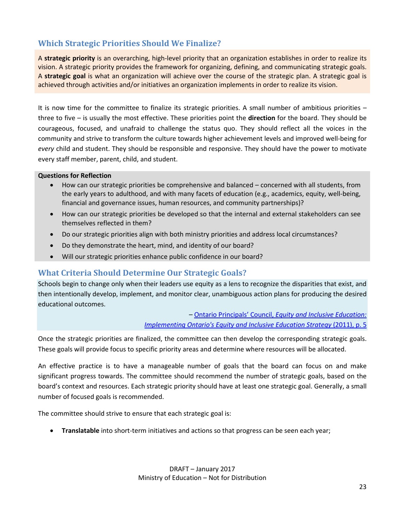## **Which Strategic Priorities Should We Finalize?**

A **strategic priority** is an overarching, high-level priority that an organization establishes in order to realize its vision. A strategic priority provides the framework for organizing, defining, and communicating strategic goals. A **strategic goal** is what an organization will achieve over the course of the strategic plan. A strategic goal is achieved through activities and/or initiatives an organization implements in order to realize its vision.

It is now time for the committee to finalize its strategic priorities. A small number of ambitious priorities – three to five – is usually the most effective. These priorities point the **direction** for the board. They should be courageous, focused, and unafraid to challenge the status quo. They should reflect all the voices in the community and strive to transform the culture towards higher achievement levels and improved well-being for *every* child and student. They should be responsible and responsive. They should have the power to motivate every staff member, parent, child, and student.

#### **Questions for Reflection**

- How can our strategic priorities be comprehensive and balanced concerned with all students, from the early years to adulthood, and with many facets of education (e.g., academics, equity, well-being, financial and governance issues, human resources, and community partnerships)?
- How can our strategic priorities be developed so that the internal and external stakeholders can see themselves reflected in them?
- Do our strategic priorities align with both ministry priorities and address local circumstances?
- Do they demonstrate the heart, mind, and identity of our board?
- Will our strategic priorities enhance public confidence in our board?

## <span id="page-22-0"></span>**What Criteria Should Determine Our Strategic Goals?**

Schools begin to change only when their leaders use equity as a lens to recognize the disparities that exist, and then intentionally develop, implement, and monitor clear, unambiguous action plans for producing the desired educational outcomes.

> *–* Ontario Principals' Council, *[Equity and Inclusive Education:](https://principals.ca/documents/Equity%20and%20Inclusive%20Education.pdf)  [Implementing Ontario's Equity and Inclusive Education Strategy](https://principals.ca/documents/Equity%20and%20Inclusive%20Education.pdf)* (2011), p. 5

Once the strategic priorities are finalized, the committee can then develop the corresponding strategic goals. These goals will provide focus to specific priority areas and determine where resources will be allocated.

An effective practice is to have a manageable number of goals that the board can focus on and make significant progress towards. The committee should recommend the number of strategic goals, based on the board's context and resources. Each strategic priority should have at least one strategic goal. Generally, a small number of focused goals is recommended.

The committee should strive to ensure that each strategic goal is:

• **Translatable** into short-term initiatives and actions so that progress can be seen each year;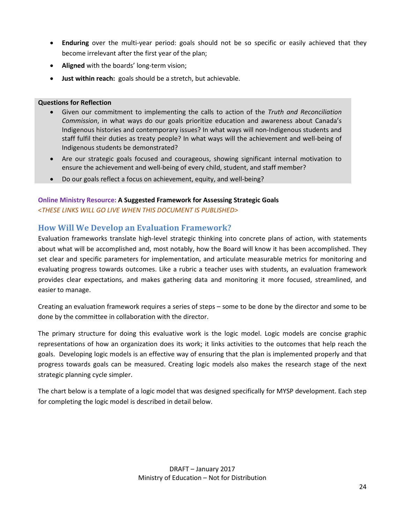- **Enduring** over the multi-year period: goals should not be so specific or easily achieved that they become irrelevant after the first year of the plan;
- **Aligned** with the boards' long-term vision;
- **Just within reach:** goals should be a stretch, but achievable.

#### **Questions for Reflection**

- Given our commitment to implementing the calls to action of the *Truth and Reconciliation Commission*, in what ways do our goals prioritize education and awareness about Canada's Indigenous histories and contemporary issues? In what ways will non-Indigenous students and staff fulfil their duties as treaty people? In what ways will the achievement and well-being of Indigenous students be demonstrated?
- Are our strategic goals focused and courageous, showing significant internal motivation to ensure the achievement and well-being of every child, student, and staff member?
- Do our goals reflect a focus on achievement, equity, and well-being?

#### **Online Ministry Resource: A Suggested Framework for Assessing Strategic Goals** <*THESE LINKS WILL GO LIVE WHEN THIS DOCUMENT IS PUBLISHED>*

## <span id="page-23-0"></span>**How Will We Develop an Evaluation Framework?**

Evaluation frameworks translate high-level strategic thinking into concrete plans of action, with statements about what will be accomplished and, most notably, how the Board will know it has been accomplished. They set clear and specific parameters for implementation, and articulate measurable metrics for monitoring and evaluating progress towards outcomes. Like a rubric a teacher uses with students, an evaluation framework provides clear expectations, and makes gathering data and monitoring it more focused, streamlined, and easier to manage.

Creating an evaluation framework requires a series of steps – some to be done by the director and some to be done by the committee in collaboration with the director.

The primary structure for doing this evaluative work is the logic model. Logic models are concise graphic representations of how an organization does its work; it links activities to the outcomes that help reach the goals. Developing logic models is an effective way of ensuring that the plan is implemented properly and that progress towards goals can be measured. Creating logic models also makes the research stage of the next strategic planning cycle simpler.

The chart below is a template of a logic model that was designed specifically for MYSP development. Each step for completing the logic model is described in detail below.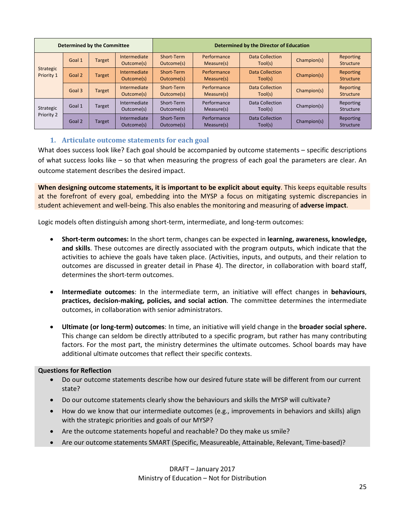| <b>Determined by the Committee</b> |        |               | <b>Determined by the Director of Education</b> |                          |                           |                                   |             |                               |
|------------------------------------|--------|---------------|------------------------------------------------|--------------------------|---------------------------|-----------------------------------|-------------|-------------------------------|
| Strategic<br>Priority 1            | Goal 1 | <b>Target</b> | Intermediate<br>Outcome(s)                     | Short-Term<br>Outcome(s) | Performance<br>Measure(s) | Data Collection<br>Tool(s)        | Champion(s) | Reporting<br><b>Structure</b> |
|                                    | Goal 2 | Target        | Intermediate<br>Outcome(s)                     | Short-Term<br>Outcome(s) | Performance<br>Measure(s) | <b>Data Collection</b><br>Tool(s) | Champion(s) | Reporting<br><b>Structure</b> |
|                                    | Goal 3 | <b>Target</b> | Intermediate<br>Outcome(s)                     | Short-Term<br>Outcome(s) | Performance<br>Measure(s) | Data Collection<br>Tool(s)        | Champion(s) | Reporting<br><b>Structure</b> |
| Strategic<br>Priority 2            | Goal 1 | Target        | Intermediate<br>Outcome(s)                     | Short-Term<br>Outcome(s) | Performance<br>Measure(s) | Data Collection<br>Tool(s)        | Champion(s) | Reporting<br>Structure        |
|                                    | Goal 2 | <b>Target</b> | Intermediate<br>Outcome(s)                     | Short-Term<br>Outcome(s) | Performance<br>Measure(s) | <b>Data Collection</b><br>Tool(s) | Champion(s) | Reporting<br>Structure        |

#### **1. Articulate outcome statements for each goal**

What does success look like? Each goal should be accompanied by outcome statements – specific descriptions of what success looks like – so that when measuring the progress of each goal the parameters are clear. An outcome statement describes the desired impact.

**When designing outcome statements, it is important to be explicit about equity**. This keeps equitable results at the forefront of every goal, embedding into the MYSP a focus on mitigating systemic discrepancies in student achievement and well-being. This also enables the monitoring and measuring of **adverse impact**.

Logic models often distinguish among short-term, intermediate, and long-term outcomes:

- **Short-term outcomes:** In the short term, changes can be expected in **learning, awareness, knowledge, and skills**. These outcomes are directly associated with the program outputs, which indicate that the activities to achieve the goals have taken place. (Activities, inputs, and outputs, and their relation to outcomes are discussed in greater detail in Phase 4). The director, in collaboration with board staff, determines the short-term outcomes.
- **Intermediate outcomes**: In the intermediate term, an initiative will effect changes in **behaviours**, **practices, decision-making, policies, and social action**. The committee determines the intermediate outcomes, in collaboration with senior administrators.
- **Ultimate (or long-term) outcomes**: In time, an initiative will yield change in the **broader social sphere.** This change can seldom be directly attributed to a specific program, but rather has many contributing factors. For the most part, the ministry determines the ultimate outcomes. School boards may have additional ultimate outcomes that reflect their specific contexts.

#### **Questions for Reflection**

- Do our outcome statements describe how our desired future state will be different from our current state?
- Do our outcome statements clearly show the behaviours and skills the MYSP will cultivate?
- How do we know that our intermediate outcomes (e.g., improvements in behaviors and skills) align with the strategic priorities and goals of our MYSP?
- Are the outcome statements hopeful and reachable? Do they make us smile?
- Are our outcome statements SMART (Specific, Measureable, Attainable, Relevant, Time-based)?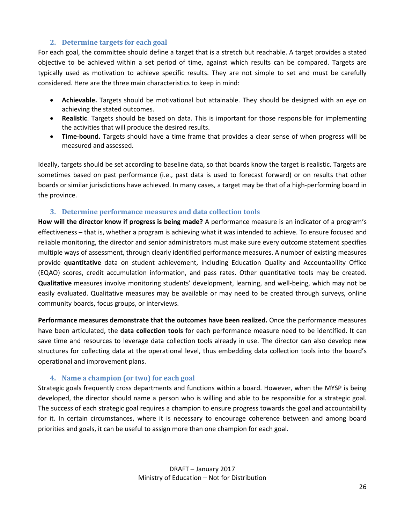#### **2. Determine targets for each goal**

For each goal, the committee should define a target that is a stretch but reachable. A target provides a stated objective to be achieved within a set period of time, against which results can be compared. Targets are typically used as motivation to achieve specific results. They are not simple to set and must be carefully considered. Here are the three main characteristics to keep in mind:

- **Achievable.** Targets should be motivational but attainable. They should be designed with an eye on achieving the stated outcomes.
- **Realistic**. Targets should be based on data. This is important for those responsible for implementing the activities that will produce the desired results.
- **Time-bound.** Targets should have a time frame that provides a clear sense of when progress will be measured and assessed.

Ideally, targets should be set according to baseline data, so that boards know the target is realistic. Targets are sometimes based on past performance (i.e., past data is used to forecast forward) or on results that other boards or similar jurisdictions have achieved. In many cases, a target may be that of a high-performing board in the province.

#### **3. Determine performance measures and data collection tools**

**How will the director know if progress is being made?** A performance measure is an indicator of a program's effectiveness – that is, whether a program is achieving what it was intended to achieve. To ensure focused and reliable monitoring, the director and senior administrators must make sure every outcome statement specifies multiple ways of assessment, through clearly identified performance measures. A number of existing measures provide **quantitative** data on student achievement, including Education Quality and Accountability Office (EQAO) scores, credit accumulation information, and pass rates. Other quantitative tools may be created. **Qualitative** measures involve monitoring students' development, learning, and well-being, which may not be easily evaluated. Qualitative measures may be available or may need to be created through surveys, online community boards, focus groups, or interviews.

**Performance measures demonstrate that the outcomes have been realized.** Once the performance measures have been articulated, the **data collection tools** for each performance measure need to be identified. It can save time and resources to leverage data collection tools already in use. The director can also develop new structures for collecting data at the operational level, thus embedding data collection tools into the board's operational and improvement plans.

#### **4. Name a champion (or two) for each goal**

Strategic goals frequently cross departments and functions within a board. However, when the MYSP is being developed, the director should name a person who is willing and able to be responsible for a strategic goal. The success of each strategic goal requires a champion to ensure progress towards the goal and accountability for it. In certain circumstances, where it is necessary to encourage coherence between and among board priorities and goals, it can be useful to assign more than one champion for each goal.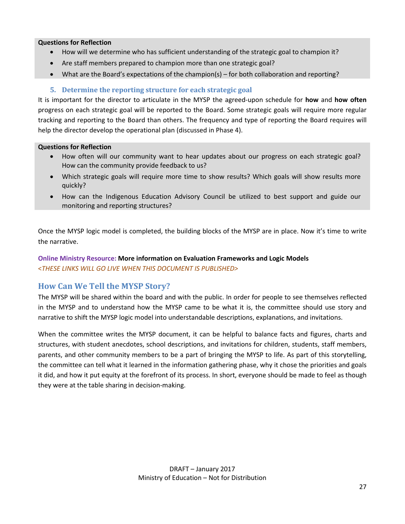#### **Questions for Reflection**

- How will we determine who has sufficient understanding of the strategic goal to champion it?
- Are staff members prepared to champion more than one strategic goal?
- What are the Board's expectations of the champion(s) for both collaboration and reporting?

#### **5. Determine the reporting structure for each strategic goal**

It is important for the director to articulate in the MYSP the agreed-upon schedule for **how** and **how often** progress on each strategic goal will be reported to the Board. Some strategic goals will require more regular tracking and reporting to the Board than others. The frequency and type of reporting the Board requires will help the director develop the operational plan (discussed in Phase 4).

#### **Questions for Reflection**

- How often will our community want to hear updates about our progress on each strategic goal? How can the community provide feedback to us?
- Which strategic goals will require more time to show results? Which goals will show results more quickly?
- How can the Indigenous Education Advisory Council be utilized to best support and guide our monitoring and reporting structures?

Once the MYSP logic model is completed, the building blocks of the MYSP are in place. Now it's time to write the narrative.

#### **Online Ministry Resource: More information on Evaluation Frameworks and Logic Models** <*THESE LINKS WILL GO LIVE WHEN THIS DOCUMENT IS PUBLISHED>*

## <span id="page-26-0"></span>**How Can We Tell the MYSP Story?**

The MYSP will be shared within the board and with the public. In order for people to see themselves reflected in the MYSP and to understand how the MYSP came to be what it is, the committee should use story and narrative to shift the MYSP logic model into understandable descriptions, explanations, and invitations.

<span id="page-26-1"></span>When the committee writes the MYSP document, it can be helpful to balance facts and figures, charts and structures, with student anecdotes, school descriptions, and invitations for children, students, staff members, parents, and other community members to be a part of bringing the MYSP to life. As part of this storytelling, the committee can tell what it learned in the information gathering phase, why it chose the priorities and goals it did, and how it put equity at the forefront of its process. In short, everyone should be made to feel as though they were at the table sharing in decision-making.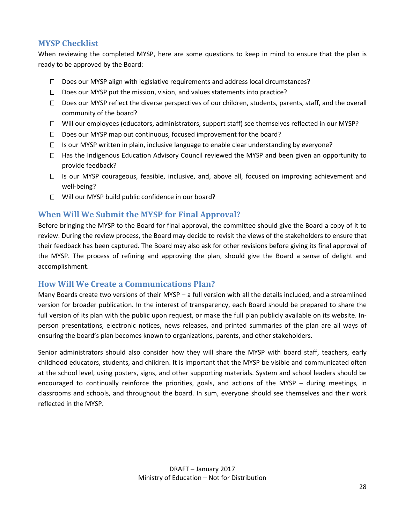## **MYSP Checklist**

When reviewing the completed MYSP, here are some questions to keep in mind to ensure that the plan is ready to be approved by the Board:

- $\Box$  Does our MYSP align with legislative requirements and address local circumstances?
- $\Box$  Does our MYSP put the mission, vision, and values statements into practice?
- $\Box$  Does our MYSP reflect the diverse perspectives of our children, students, parents, staff, and the overall community of the board?
- $\Box$  Will our employees (educators, administrators, support staff) see themselves reflected in our MYSP?
- $\Box$  Does our MYSP map out continuous, focused improvement for the board?
- $\Box$  Is our MYSP written in plain, inclusive language to enable clear understanding by everyone?
- $\Box$  Has the Indigenous Education Advisory Council reviewed the MYSP and been given an opportunity to provide feedback?
- $\Box$  Is our MYSP courageous, feasible, inclusive, and, above all, focused on improving achievement and well-being?
- $\Box$  Will our MYSP build public confidence in our board?

## <span id="page-27-0"></span>**When Will We Submit the MYSP for Final Approval?**

Before bringing the MYSP to the Board for final approval, the committee should give the Board a copy of it to review. During the review process, the Board may decide to revisit the views of the stakeholders to ensure that their feedback has been captured. The Board may also ask for other revisions before giving its final approval of the MYSP. The process of refining and approving the plan, should give the Board a sense of delight and accomplishment.

#### <span id="page-27-1"></span>**How Will We Create a Communications Plan?**

Many Boards create two versions of their MYSP – a full version with all the details included, and a streamlined version for broader publication. In the interest of transparency, each Board should be prepared to share the full version of its plan with the public upon request, or make the full plan publicly available on its website. Inperson presentations, electronic notices, news releases, and printed summaries of the plan are all ways of ensuring the board's plan becomes known to organizations, parents, and other stakeholders.

Senior administrators should also consider how they will share the MYSP with board staff, teachers, early childhood educators, students, and children. It is important that the MYSP be visible and communicated often at the school level, using posters, signs, and other supporting materials. System and school leaders should be encouraged to continually reinforce the priorities, goals, and actions of the MYSP – during meetings, in classrooms and schools, and throughout the board. In sum, everyone should see themselves and their work reflected in the MYSP.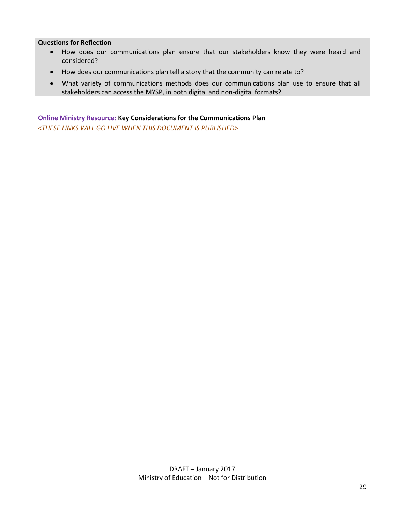#### **Questions for Reflection**

- How does our communications plan ensure that our stakeholders know they were heard and considered?
- How does our communications plan tell a story that the community can relate to?
- What variety of communications methods does our communications plan use to ensure that all stakeholders can access the MYSP, in both digital and non-digital formats?

**Online Ministry Resource: Key Considerations for the Communications Plan** <*THESE LINKS WILL GO LIVE WHEN THIS DOCUMENT IS PUBLISHED>*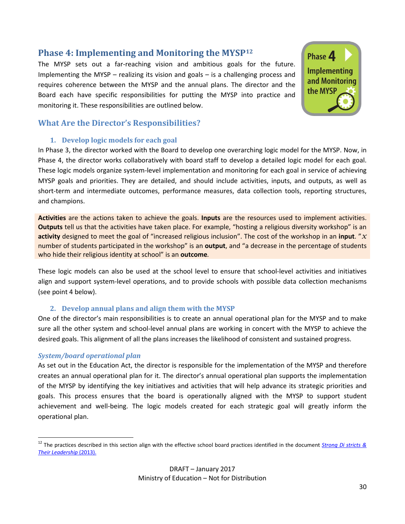## <span id="page-29-0"></span>**Phase 4: Implementing and Monitoring the MYSP[12](#page-29-2)**

The MYSP sets out a far-reaching vision and ambitious goals for the future. Implementing the MYSP – realizing its vision and goals – is a challenging process and requires coherence between the MYSP and the annual plans. The director and the Board each have specific responsibilities for putting the MYSP into practice and monitoring it. These responsibilities are outlined below.



## <span id="page-29-1"></span>**What Are the Director's Responsibilities?**

#### **1. Develop logic models for each goal**

In Phase 3, the director worked with the Board to develop one overarching logic model for the MYSP. Now, in Phase 4, the director works collaboratively with board staff to develop a detailed logic model for each goal. These logic models organize system-level implementation and monitoring for each goal in service of achieving MYSP goals and priorities. They are detailed, and should include activities, inputs, and outputs, as well as short-term and intermediate outcomes, performance measures, data collection tools, reporting structures, and champions.

**Activities** are the actions taken to achieve the goals. **Inputs** are the resources used to implement activities. **Outputs** tell us that the activities have taken place. For example, "hosting a religious diversity workshop" is an **activity** designed to meet the goal of "increased religious inclusion". The cost of the workshop in an **input**. "*x* number of students participated in the workshop" is an **output**, and "a decrease in the percentage of students who hide their religious identity at school" is an **outcome***.*

These logic models can also be used at the school level to ensure that school-level activities and initiatives align and support system-level operations, and to provide schools with possible data collection mechanisms (see point 4 below).

#### **2. Develop annual plans and align them with the MYSP**

One of the director's main responsibilities is to create an annual operational plan for the MYSP and to make sure all the other system and school-level annual plans are working in concert with the MYSP to achieve the desired goals. This alignment of all the plans increases the likelihood of consistent and sustained progress.

#### *System/board operational plan*

As set out in the Education Act, the director is responsible for the implementation of the MYSP and therefore creates an annual operational plan for it. The director's annual operational plan supports the implementation of the MYSP by identifying the key initiatives and activities that will help advance its strategic priorities and goals. This process ensures that the board is operationally aligned with the MYSP to support student achievement and well-being. The logic models created for each strategic goal will greatly inform the operational plan.

<span id="page-29-2"></span><sup>12</sup> The practices described in this section align with the effective school board practices identified in the document *[Strong Di](https://education-leadership-ontario.ca/media/resource/Strong_Districts_and_their_Leadership_2013.pdf) stricts & [Their Leadership](https://education-leadership-ontario.ca/media/resource/Strong_Districts_and_their_Leadership_2013.pdf)* (2013).  $\overline{a}$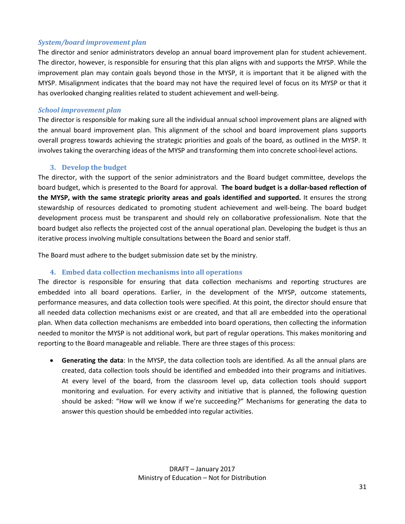#### *System/board improvement plan*

The director and senior administrators develop an annual board improvement plan for student achievement. The director, however, is responsible for ensuring that this plan aligns with and supports the MYSP. While the improvement plan may contain goals beyond those in the MYSP, it is important that it be aligned with the MYSP. Misalignment indicates that the board may not have the required level of focus on its MYSP or that it has overlooked changing realities related to student achievement and well-being.

#### *School improvement plan*

The director is responsible for making sure all the individual annual school improvement plans are aligned with the annual board improvement plan. This alignment of the school and board improvement plans supports overall progress towards achieving the strategic priorities and goals of the board, as outlined in the MYSP. It involves taking the overarching ideas of the MYSP and transforming them into concrete school-level actions.

#### **3. Develop the budget**

The director, with the support of the senior administrators and the Board budget committee, develops the board budget, which is presented to the Board for approval. **The board budget is a dollar-based reflection of the MYSP, with the same strategic priority areas and goals identified and supported.** It ensures the strong stewardship of resources dedicated to promoting student achievement and well-being. The board budget development process must be transparent and should rely on collaborative professionalism. Note that the board budget also reflects the projected cost of the annual operational plan. Developing the budget is thus an iterative process involving multiple consultations between the Board and senior staff.

The Board must adhere to the budget submission date set by the ministry.

#### **4. Embed data collection mechanisms into all operations**

The director is responsible for ensuring that data collection mechanisms and reporting structures are embedded into all board operations. Earlier, in the development of the MYSP, outcome statements, performance measures, and data collection tools were specified. At this point, the director should ensure that all needed data collection mechanisms exist or are created, and that all are embedded into the operational plan. When data collection mechanisms are embedded into board operations, then collecting the information needed to monitor the MYSP is not additional work, but part of regular operations. This makes monitoring and reporting to the Board manageable and reliable. There are three stages of this process:

• **Generating the data**: In the MYSP, the data collection tools are identified. As all the annual plans are created, data collection tools should be identified and embedded into their programs and initiatives. At every level of the board, from the classroom level up, data collection tools should support monitoring and evaluation. For every activity and initiative that is planned, the following question should be asked: "How will we know if we're succeeding?" Mechanisms for generating the data to answer this question should be embedded into regular activities.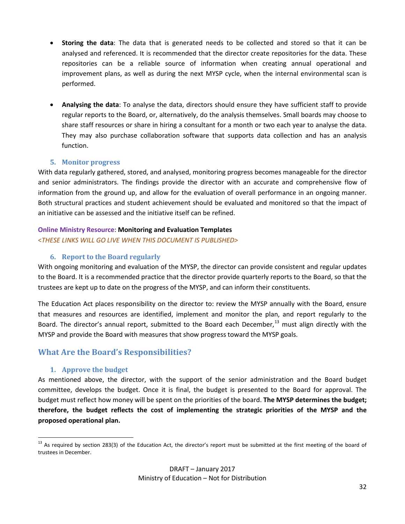- **Storing the data**: The data that is generated needs to be collected and stored so that it can be analysed and referenced. It is recommended that the director create repositories for the data. These repositories can be a reliable source of information when creating annual operational and improvement plans, as well as during the next MYSP cycle, when the internal environmental scan is performed.
- **Analysing the data**: To analyse the data, directors should ensure they have sufficient staff to provide regular reports to the Board, or, alternatively, do the analysis themselves. Small boards may choose to share staff resources or share in hiring a consultant for a month or two each year to analyse the data. They may also purchase collaboration software that supports data collection and has an analysis function.

#### **5. Monitor progress**

With data regularly gathered, stored, and analysed, monitoring progress becomes manageable for the director and senior administrators. The findings provide the director with an accurate and comprehensive flow of information from the ground up, and allow for the evaluation of overall performance in an ongoing manner. Both structural practices and student achievement should be evaluated and monitored so that the impact of an initiative can be assessed and the initiative itself can be refined.

## **Online Ministry Resource**: **Monitoring and Evaluation Templates**

<*THESE LINKS WILL GO LIVE WHEN THIS DOCUMENT IS PUBLISHED>*

## **6. Report to the Board regularly**

With ongoing monitoring and evaluation of the MYSP, the director can provide consistent and regular updates to the Board. It is a recommended practice that the director provide quarterly reports to the Board, so that the trustees are kept up to date on the progress of the MYSP, and can inform their constituents.

The Education Act places responsibility on the director to: review the MYSP annually with the Board, ensure that measures and resources are identified, implement and monitor the plan, and report regularly to the Board. The director's annual report, submitted to the Board each December, $^{13}$  $^{13}$  $^{13}$  must align directly with the MYSP and provide the Board with measures that show progress toward the MYSP goals.

## <span id="page-31-0"></span>**What Are the Board's Responsibilities?**

## **1. Approve the budget**

As mentioned above, the director, with the support of the senior administration and the Board budget committee, develops the budget. Once it is final, the budget is presented to the Board for approval. The budget must reflect how money will be spent on the priorities of the board. **The MYSP determines the budget; therefore, the budget reflects the cost of implementing the strategic priorities of the MYSP and the proposed operational plan.**

<span id="page-31-1"></span><sup>&</sup>lt;sup>13</sup> As required by section 283(3) of the Education Act, the director's report must be submitted at the first meeting of the board of trustees in December.  $\overline{a}$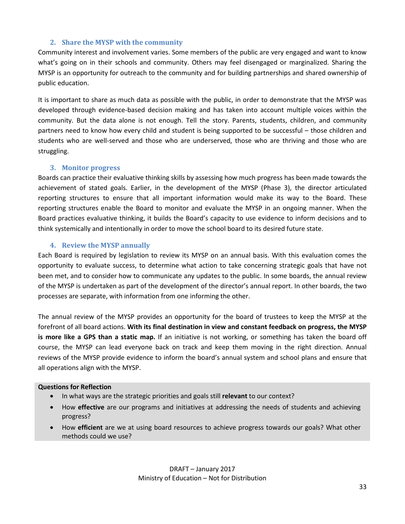#### **2. Share the MYSP with the community**

Community interest and involvement varies. Some members of the public are very engaged and want to know what's going on in their schools and community. Others may feel disengaged or marginalized. Sharing the MYSP is an opportunity for outreach to the community and for building partnerships and shared ownership of public education.

It is important to share as much data as possible with the public, in order to demonstrate that the MYSP was developed through evidence-based decision making and has taken into account multiple voices within the community. But the data alone is not enough. Tell the story. Parents, students, children, and community partners need to know how every child and student is being supported to be successful – those children and students who are well-served and those who are underserved, those who are thriving and those who are struggling.

#### **3. Monitor progress**

Boards can practice their evaluative thinking skills by assessing how much progress has been made towards the achievement of stated goals. Earlier, in the development of the MYSP (Phase 3), the director articulated reporting structures to ensure that all important information would make its way to the Board. These reporting structures enable the Board to monitor and evaluate the MYSP in an ongoing manner. When the Board practices evaluative thinking, it builds the Board's capacity to use evidence to inform decisions and to think systemically and intentionally in order to move the school board to its desired future state.

#### **4. Review the MYSP annually**

Each Board is required by legislation to review its MYSP on an annual basis. With this evaluation comes the opportunity to evaluate success, to determine what action to take concerning strategic goals that have not been met, and to consider how to communicate any updates to the public. In some boards, the annual review of the MYSP is undertaken as part of the development of the director's annual report. In other boards, the two processes are separate, with information from one informing the other.

The annual review of the MYSP provides an opportunity for the board of trustees to keep the MYSP at the forefront of all board actions. **With its final destination in view and constant feedback on progress, the MYSP is more like a GPS than a static map.** If an initiative is not working, or something has taken the board off course, the MYSP can lead everyone back on track and keep them moving in the right direction. Annual reviews of the MYSP provide evidence to inform the board's annual system and school plans and ensure that all operations align with the MYSP.

#### **Questions for Reflection**

- In what ways are the strategic priorities and goals still **relevant** to our context?
- How **effective** are our programs and initiatives at addressing the needs of students and achieving progress?
- How **efficient** are we at using board resources to achieve progress towards our goals? What other methods could we use?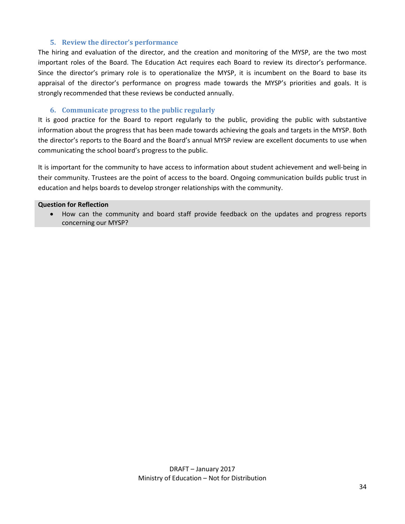#### **5. Review the director's performance**

The hiring and evaluation of the director, and the creation and monitoring of the MYSP, are the two most important roles of the Board. The Education Act requires each Board to review its director's performance. Since the director's primary role is to operationalize the MYSP, it is incumbent on the Board to base its appraisal of the director's performance on progress made towards the MYSP's priorities and goals. It is strongly recommended that these reviews be conducted annually.

#### **6. Communicate progress to the public regularly**

It is good practice for the Board to report regularly to the public, providing the public with substantive information about the progress that has been made towards achieving the goals and targets in the MYSP. Both the director's reports to the Board and the Board's annual MYSP review are excellent documents to use when communicating the school board's progress to the public.

It is important for the community to have access to information about student achievement and well-being in their community. Trustees are the point of access to the board. Ongoing communication builds public trust in education and helps boards to develop stronger relationships with the community.

#### **Question for Reflection**

• How can the community and board staff provide feedback on the updates and progress reports concerning our MYSP?